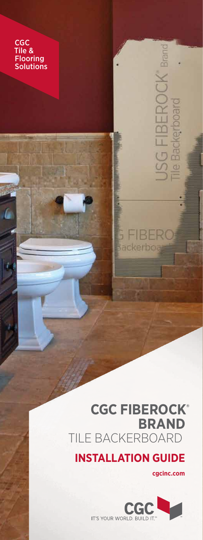CGC Tile & **Flooring Solutions** 

> **CGC FIBEROCK ® BRAND** TILE BACKERBOARD

**INSTALLATION GUIDE**

**cgcinc.com**

mund

Л

**S FIBER Backerboa** 

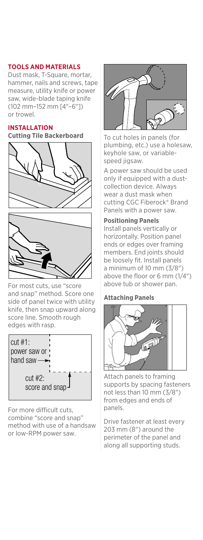# **TOOLS AND MATERIALS**

Dust mask, T-Square, mortar, hammer, nails and screws, tape measure, utility knife or power saw, wide-blade taping knife (102 mm–152 mm [4"–6"]) or trowel.

### **INSTALLATION**

**Cutting Tile Backerboard**





For most cuts, use "score and snap" method. Score one<br>side of panel twice with utility side of panel twice with utility knife, then snap upward along score line. Smooth rough edges with rasp.



For more difficult cuts, combine "score and snap" method with use of a handsaw or low-RPM power saw.



To cut holes in panels (for plumbing, etc.) use a holesaw, keyhole saw, or variablespeed jigsaw.

A power saw should be used only if equipped with a dustcollection device. Always wear a dust mask when cutting CGC Fiberock® Brand Panels with a power saw.

# **Positioning Panels**

Install panels vertically or horizontally. Position panel ends or edges over framing members. End joints should be loosely fit. Install panels a minimum of 10 mm (3/8") above the floor or 6 mm (1/4") above tub or shower pan.

## **Attaching Panels**



Attach panels to framing supports by spacing fasteners not less than 10 mm (3/8") from edges and ends of panels.

> Drive fastener at least every 203 mm (8") around the perimeter of the panel and along all supporting studs.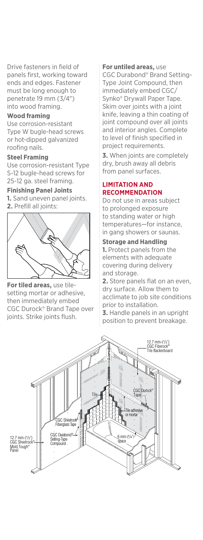Drive fasteners in field of panels first, working toward ends and edges. Fastener must be long enough to penetrate 19 mm (3/4") into wood framing.

### **Wood framing**

Use corrosion-resistant Type W bugle-head screws or hot-dipped galvanized roofing nails.

#### **Steel Framing**

Use corrosion-resistant Type S-12 bugle-head screws for 25-12 ga. steel framing.

#### **Finishing Panel Joints**

**1.** Sand uneven panel joints. **2.** Prefill all joints:



**For tiled areas,** use tilesetting mortar or adhesive, then immediately embed CGC Durock® Brand Tape over joints. Strike joints flush.

#### **For untiled areas,** use

CGC Durabond® Brand Setting-Type Joint Compound, then immediately embed CGC/ Synko® Drywall Paper Tape. Skim over joints with a joint knife, leaving a thin coating of joint compound over all joints and interior angles. Complete to level of finish specified in project requirements.

**3.** When joints are completely dry, brush away all debris from panel surfaces.

# **LIMITATION AND RECOMMENDATION**

Do not use in areas subject to prolonged exposure to standing water or high temperatures—for instance, in gang showers or saunas.

#### **Storage and Handling**

**1.** Protect panels from the elements with adequate covering during delivery and storage.

**2.** Store panels flat on an even, dry surface. Allow them to acclimate to job site conditions prior to installation.

**3.** Handle panels in an upright position to prevent breakage.